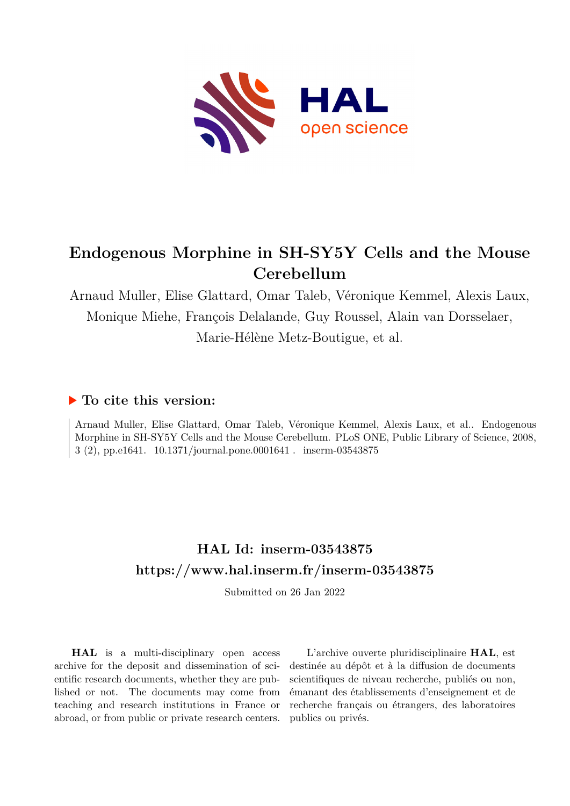

# **Endogenous Morphine in SH-SY5Y Cells and the Mouse Cerebellum**

Arnaud Muller, Elise Glattard, Omar Taleb, Véronique Kemmel, Alexis Laux, Monique Miehe, François Delalande, Guy Roussel, Alain van Dorsselaer, Marie-Hélène Metz-Boutigue, et al.

# **To cite this version:**

Arnaud Muller, Elise Glattard, Omar Taleb, Véronique Kemmel, Alexis Laux, et al.. Endogenous Morphine in SH-SY5Y Cells and the Mouse Cerebellum. PLoS ONE, Public Library of Science, 2008, 3 (2), pp.e1641.  $10.1371/journal.pone.0001641$ . inserm-03543875

# **HAL Id: inserm-03543875 <https://www.hal.inserm.fr/inserm-03543875>**

Submitted on 26 Jan 2022

**HAL** is a multi-disciplinary open access archive for the deposit and dissemination of scientific research documents, whether they are published or not. The documents may come from teaching and research institutions in France or abroad, or from public or private research centers.

L'archive ouverte pluridisciplinaire **HAL**, est destinée au dépôt et à la diffusion de documents scientifiques de niveau recherche, publiés ou non, émanant des établissements d'enseignement et de recherche français ou étrangers, des laboratoires publics ou privés.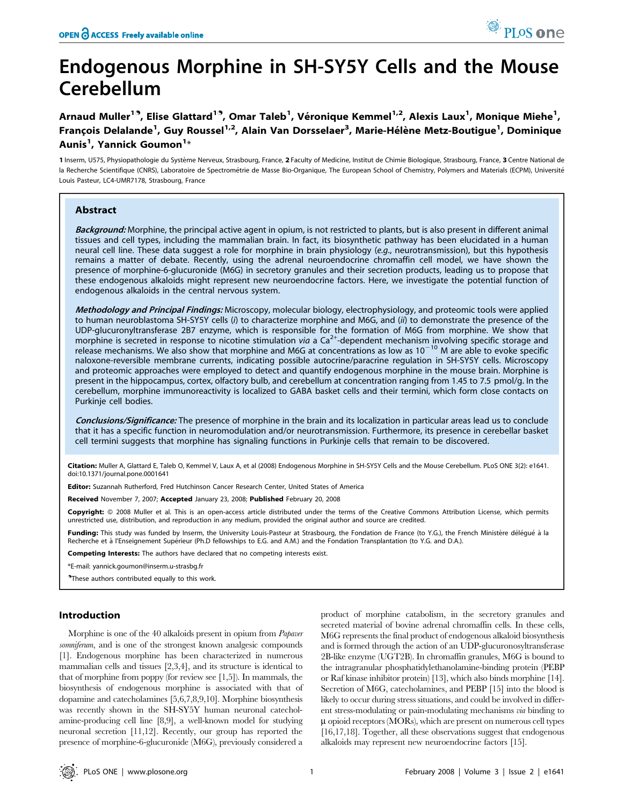# Endogenous Morphine in SH-SY5Y Cells and the Mouse Cerebellum

Arnaud Muller<sup>19</sup>, Elise Glattard<sup>19</sup>, Omar Taleb<sup>1</sup>, Véronique Kemmel<sup>1,2</sup>, Alexis Laux<sup>1</sup>, Monique Miehe<sup>1</sup>, François Delalande<sup>1</sup>, Guy Roussel<sup>1,2</sup>, Alain Van Dorsselaer<sup>3</sup>, Marie-Hélène Metz-Boutigue<sup>1</sup>, Dominique Aunis<sup>1</sup>, Yannick Goumon<sup>1</sup>\*

1 Inserm, U575, Physiopathologie du Système Nerveux, Strasbourg, France, 2 Faculty of Medicine, Institut de Chimie Biologique, Strasbourg, France, 3 Centre National de la Recherche Scientifique (CNRS), Laboratoire de Spectrométrie de Masse Bio-Organique, The European School of Chemistry, Polymers and Materials (ECPM), Université Louis Pasteur, LC4-UMR7178, Strasbourg, France

# Abstract

Background: Morphine, the principal active agent in opium, is not restricted to plants, but is also present in different animal tissues and cell types, including the mammalian brain. In fact, its biosynthetic pathway has been elucidated in a human neural cell line. These data suggest a role for morphine in brain physiology (e.g., neurotransmission), but this hypothesis remains a matter of debate. Recently, using the adrenal neuroendocrine chromaffin cell model, we have shown the presence of morphine-6-glucuronide (M6G) in secretory granules and their secretion products, leading us to propose that these endogenous alkaloids might represent new neuroendocrine factors. Here, we investigate the potential function of endogenous alkaloids in the central nervous system.

Methodology and Principal Findings: Microscopy, molecular biology, electrophysiology, and proteomic tools were applied to human neuroblastoma SH-SY5Y cells (i) to characterize morphine and M6G, and (ii) to demonstrate the presence of the UDP-glucuronyltransferase 2B7 enzyme, which is responsible for the formation of M6G from morphine. We show that morphine is secreted in response to nicotine stimulation via a Ca<sup>2+</sup>-dependent mechanism involving specific storage and release mechanisms. We also show that morphine and M6G at concentrations as low as  $10^{-10}$  M are able to evoke specific naloxone-reversible membrane currents, indicating possible autocrine/paracrine regulation in SH-SY5Y cells. Microscopy and proteomic approaches were employed to detect and quantify endogenous morphine in the mouse brain. Morphine is present in the hippocampus, cortex, olfactory bulb, and cerebellum at concentration ranging from 1.45 to 7.5 pmol/g. In the cerebellum, morphine immunoreactivity is localized to GABA basket cells and their termini, which form close contacts on Purkinje cell bodies.

Conclusions/Significance: The presence of morphine in the brain and its localization in particular areas lead us to conclude that it has a specific function in neuromodulation and/or neurotransmission. Furthermore, its presence in cerebellar basket cell termini suggests that morphine has signaling functions in Purkinje cells that remain to be discovered.

Citation: Muller A, Glattard E, Taleb O, Kemmel V, Laux A, et al (2008) Endogenous Morphine in SH-SY5Y Cells and the Mouse Cerebellum. PLoS ONE 3(2): e1641. doi:10.1371/journal.pone.0001641

Editor: Suzannah Rutherford, Fred Hutchinson Cancer Research Center, United States of America

Received November 7, 2007; Accepted January 23, 2008; Published February 20, 2008

Copyright: @ 2008 Muller et al. This is an open-access article distributed under the terms of the Creative Commons Attribution License, which permits unrestricted use, distribution, and reproduction in any medium, provided the original author and source are credited.

**Funding:** This study was funded by Inserm, the University Louis-Pasteur at Strasbourg, the Fondation de France (to Y.G.), the French Ministère délégué à la<br>Recherche et à l'Enseignement Supérieur (Ph.D fellowships to E.G.

Competing Interests: The authors have declared that no competing interests exist.

\*E-mail: yannick.goumon@inserm.u-strasbg.fr

 $^{\circ}$ These authors contributed equally to this work.

## Introduction

Morphine is one of the 40 alkaloids present in opium from Papaver somniferum, and is one of the strongest known analgesic compounds [1]. Endogenous morphine has been characterized in numerous mammalian cells and tissues [2,3,4], and its structure is identical to that of morphine from poppy (for review see [1,5]). In mammals, the biosynthesis of endogenous morphine is associated with that of dopamine and catecholamines [5,6,7,8,9,10]. Morphine biosynthesis was recently shown in the SH-SY5Y human neuronal catecholamine-producing cell line [8,9], a well-known model for studying neuronal secretion [11,12]. Recently, our group has reported the presence of morphine-6-glucuronide (M6G), previously considered a

product of morphine catabolism, in the secretory granules and secreted material of bovine adrenal chromaffin cells. In these cells, M6G represents the final product of endogenous alkaloid biosynthesis and is formed through the action of an UDP-glucuronosyltransferase 2B-like enzyme (UGT2B). In chromaffin granules, M6G is bound to the intragranular phosphatidylethanolamine-binding protein (PEBP or Raf kinase inhibitor protein) [13], which also binds morphine [14]. Secretion of M6G, catecholamines, and PEBP [15] into the blood is likely to occur during stress situations, and could be involved in different stress-modulating or pain-modulating mechanisms via binding to  $\mu$  opioid receptors (MORs), which are present on numerous cell types [16,17,18]. Together, all these observations suggest that endogenous alkaloids may represent new neuroendocrine factors [15].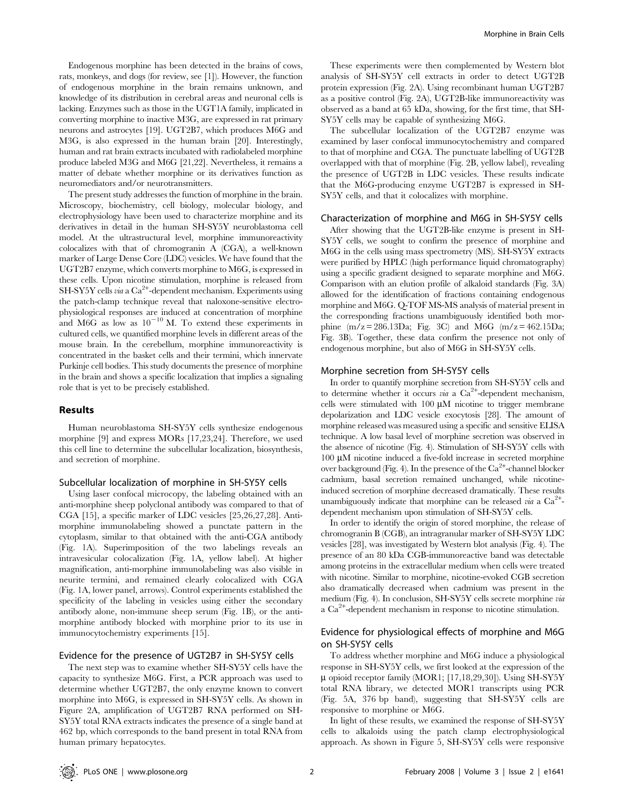Endogenous morphine has been detected in the brains of cows, rats, monkeys, and dogs (for review, see [1]). However, the function of endogenous morphine in the brain remains unknown, and knowledge of its distribution in cerebral areas and neuronal cells is lacking. Enzymes such as those in the UGT1A family, implicated in converting morphine to inactive M3G, are expressed in rat primary neurons and astrocytes [19]. UGT2B7, which produces M6G and M3G, is also expressed in the human brain [20]. Interestingly, human and rat brain extracts incubated with radiolabeled morphine produce labeled M3G and M6G [21,22]. Nevertheless, it remains a matter of debate whether morphine or its derivatives function as neuromediators and/or neurotransmitters.

The present study addresses the function of morphine in the brain. Microscopy, biochemistry, cell biology, molecular biology, and electrophysiology have been used to characterize morphine and its derivatives in detail in the human SH-SY5Y neuroblastoma cell model. At the ultrastructural level, morphine immunoreactivity colocalizes with that of chromogranin A (CGA), a well-known marker of Large Dense Core (LDC) vesicles. We have found that the UGT2B7 enzyme, which converts morphine to M6G, is expressed in these cells. Upon nicotine stimulation, morphine is released from SH-SY5Y cells via a Ca<sup>2+</sup>-dependent mechanism. Experiments using the patch-clamp technique reveal that naloxone-sensitive electrophysiological responses are induced at concentration of morphine and M6G as low as  $10^{-10}$  M. To extend these experiments in cultured cells, we quantified morphine levels in different areas of the mouse brain. In the cerebellum, morphine immunoreactivity is concentrated in the basket cells and their termini, which innervate Purkinje cell bodies. This study documents the presence of morphine in the brain and shows a specific localization that implies a signaling role that is yet to be precisely established.

#### Results

Human neuroblastoma SH-SY5Y cells synthesize endogenous morphine [9] and express MORs [17,23,24]. Therefore, we used this cell line to determine the subcellular localization, biosynthesis, and secretion of morphine.

#### Subcellular localization of morphine in SH-SY5Y cells

Using laser confocal microcopy, the labeling obtained with an anti-morphine sheep polyclonal antibody was compared to that of CGA [15], a specific marker of LDC vesicles [25,26,27,28]. Antimorphine immunolabeling showed a punctate pattern in the cytoplasm, similar to that obtained with the anti-CGA antibody (Fig. 1A). Superimposition of the two labelings reveals an intravesicular colocalization (Fig. 1A, yellow label). At higher magnification, anti-morphine immunolabeling was also visible in neurite termini, and remained clearly colocalized with CGA (Fig. 1A, lower panel, arrows). Control experiments established the specificity of the labeling in vesicles using either the secondary antibody alone, non-immune sheep serum (Fig. 1B), or the antimorphine antibody blocked with morphine prior to its use in immunocytochemistry experiments [15].

The next step was to examine whether SH-SY5Y cells have the capacity to synthesize M6G. First, a PCR approach was used to determine whether UGT2B7, the only enzyme known to convert morphine into M6G, is expressed in SH-SY5Y cells. As shown in Figure 2A, amplification of UGT2B7 RNA performed on SH-SY5Y total RNA extracts indicates the presence of a single band at 462 bp, which corresponds to the band present in total RNA from human primary hepatocytes.

These experiments were then complemented by Western blot analysis of SH-SY5Y cell extracts in order to detect UGT2B protein expression (Fig. 2A). Using recombinant human UGT2B7 as a positive control (Fig. 2A), UGT2B-like immunoreactivity was observed as a band at 65 kDa, showing, for the first time, that SH-SY5Y cells may be capable of synthesizing M6G.

The subcellular localization of the UGT2B7 enzyme was examined by laser confocal immunocytochemistry and compared to that of morphine and CGA. The punctuate labelling of UGT2B overlapped with that of morphine (Fig. 2B, yellow label), revealing the presence of UGT2B in LDC vesicles. These results indicate that the M6G-producing enzyme UGT2B7 is expressed in SH-SY5Y cells, and that it colocalizes with morphine.

#### Characterization of morphine and M6G in SH-SY5Y cells

After showing that the UGT2B-like enzyme is present in SH-SY5Y cells, we sought to confirm the presence of morphine and M6G in the cells using mass spectrometry (MS). SH-SY5Y extracts were purified by HPLC (high performance liquid chromatography) using a specific gradient designed to separate morphine and M6G. Comparison with an elution profile of alkaloid standards (Fig. 3A) allowed for the identification of fractions containing endogenous morphine and M6G. Q-TOF MS-MS analysis of material present in the corresponding fractions unambiguously identified both morphine  $(m/z = 286.13Da$ ; Fig. 3C) and M6G  $(m/z = 462.15Da)$ ; Fig. 3B). Together, these data confirm the presence not only of endogenous morphine, but also of M6G in SH-SY5Y cells.

# Morphine secretion from SH-SY5Y cells

In order to quantify morphine secretion from SH-SY5Y cells and to determine whether it occurs via a  $\text{Ca}^{2+}$ -dependent mechanism, cells were stimulated with  $100 \mu M$  nicotine to trigger membrane depolarization and LDC vesicle exocytosis [28]. The amount of morphine released was measured using a specific and sensitive ELISA technique. A low basal level of morphine secretion was observed in the absence of nicotine (Fig. 4). Stimulation of SH-SY5Y cells with  $100 \mu M$  nicotine induced a five-fold increase in secreted morphine over background (Fig. 4). In the presence of the Ca<sup>2+</sup>-channel blocker cadmium, basal secretion remained unchanged, while nicotineinduced secretion of morphine decreased dramatically. These results unambiguously indicate that morphine can be released via a  $Ca^{2+}$ dependent mechanism upon stimulation of SH-SY5Y cells.

In order to identify the origin of stored morphine, the release of chromogranin B (CGB), an intragranular marker of SH-SY5Y LDC vesicles [28], was investigated by Western blot analysis (Fig. 4). The presence of an 80 kDa CGB-immunoreactive band was detectable among proteins in the extracellular medium when cells were treated with nicotine. Similar to morphine, nicotine-evoked CGB secretion also dramatically decreased when cadmium was present in the medium (Fig. 4). In conclusion, SH-SY5Y cells secrete morphine via a Ca2<sup>+</sup> -dependent mechanism in response to nicotine stimulation.

# Evidence for physiological effects of morphine and M6G on SH-SY5Y cells

To address whether morphine and M6G induce a physiological response in SH-SY5Y cells, we first looked at the expression of the  $\mu$  opioid receptor family (MOR1; [17,18,29,30]). Using SH-SY5Y total RNA library, we detected MOR1 transcripts using PCR (Fig. 5A, 376 bp band), suggesting that SH-SY5Y cells are responsive to morphine or M6G.

In light of these results, we examined the response of SH-SY5Y cells to alkaloids using the patch clamp electrophysiological approach. As shown in Figure 5, SH-SY5Y cells were responsive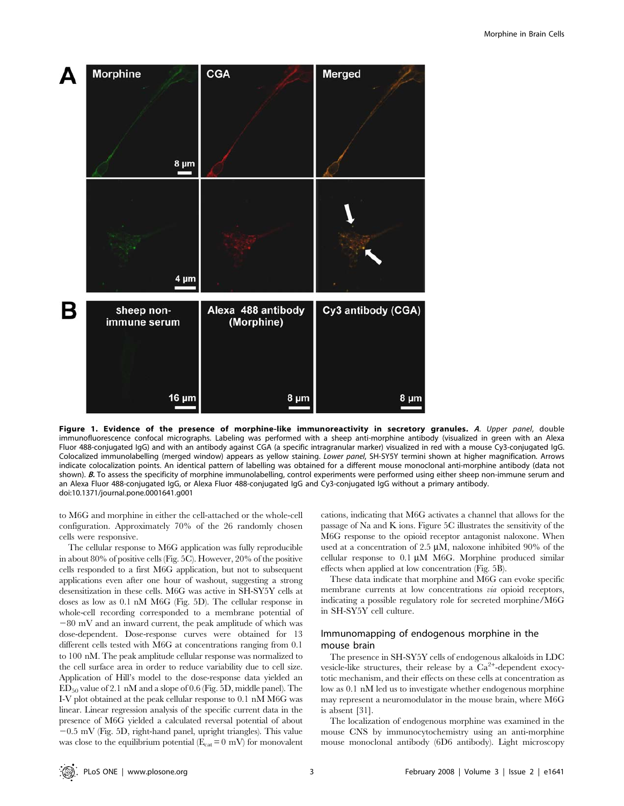

Figure 1. Evidence of the presence of morphine-like immunoreactivity in secretory granules. A. Upper panel, double immunofluorescence confocal micrographs. Labeling was performed with a sheep anti-morphine antibody (visualized in green with an Alexa Fluor 488-conjugated IgG) and with an antibody against CGA (a specific intragranular marker) visualized in red with a mouse Cy3-conjugated IgG. Colocalized immunolabelling (merged window) appears as yellow staining. Lower panel, SH-SY5Y termini shown at higher magnification. Arrows indicate colocalization points. An identical pattern of labelling was obtained for a different mouse monoclonal anti-morphine antibody (data not shown). B. To assess the specificity of morphine immunolabelling, control experiments were performed using either sheep non-immune serum and an Alexa Fluor 488-conjugated IgG, or Alexa Fluor 488-conjugated IgG and Cy3-conjugated IgG without a primary antibody. doi:10.1371/journal.pone.0001641.g001

to M6G and morphine in either the cell-attached or the whole-cell configuration. Approximately 70% of the 26 randomly chosen cells were responsive.

The cellular response to M6G application was fully reproducible in about 80% of positive cells (Fig. 5C). However, 20% of the positive cells responded to a first M6G application, but not to subsequent applications even after one hour of washout, suggesting a strong desensitization in these cells. M6G was active in SH-SY5Y cells at doses as low as 0.1 nM M6G (Fig. 5D). The cellular response in whole-cell recording corresponded to a membrane potential of  $-80$  mV and an inward current, the peak amplitude of which was dose-dependent. Dose-response curves were obtained for 13 different cells tested with M6G at concentrations ranging from 0.1 to 100 nM. The peak amplitude cellular response was normalized to the cell surface area in order to reduce variability due to cell size. Application of Hill's model to the dose-response data yielded an ED50 value of 2.1 nM and a slope of 0.6 (Fig. 5D, middle panel). The I-V plot obtained at the peak cellular response to 0.1 nM M6G was linear. Linear regression analysis of the specific current data in the presence of M6G yielded a calculated reversal potential of about  $-0.5$  mV (Fig. 5D, right-hand panel, upright triangles). This value was close to the equilibrium potential ( $E_{cat} = 0$  mV) for monovalent cations, indicating that M6G activates a channel that allows for the passage of Na and K ions. Figure 5C illustrates the sensitivity of the M6G response to the opioid receptor antagonist naloxone. When used at a concentration of 2.5  $\mu$ M, naloxone inhibited 90% of the cellular response to  $0.1 \mu M$  M6G. Morphine produced similar effects when applied at low concentration (Fig. 5B).

These data indicate that morphine and M6G can evoke specific membrane currents at low concentrations via opioid receptors, indicating a possible regulatory role for secreted morphine/M6G in SH-SY5Y cell culture.

# Immunomapping of endogenous morphine in the mouse brain

The presence in SH-SY5Y cells of endogenous alkaloids in LDC vesicle-like structures, their release by a  $Ca^{2+}$ -dependent exocytotic mechanism, and their effects on these cells at concentration as low as 0.1 nM led us to investigate whether endogenous morphine may represent a neuromodulator in the mouse brain, where M6G is absent [31].

The localization of endogenous morphine was examined in the mouse CNS by immunocytochemistry using an anti-morphine mouse monoclonal antibody (6D6 antibody). Light microscopy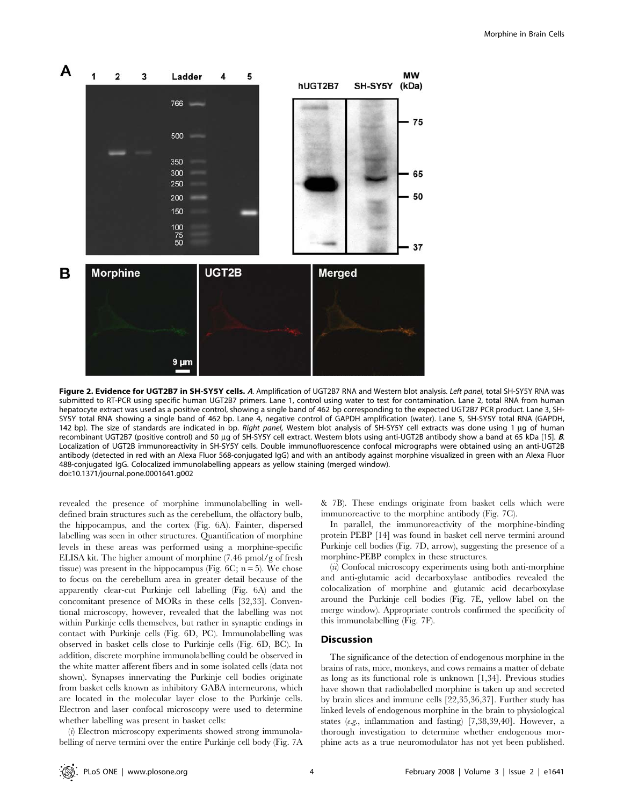

Figure 2. Evidence for UGT2B7 in SH-SY5Y cells. A. Amplification of UGT2B7 RNA and Western blot analysis. Left panel, total SH-SY5Y RNA was submitted to RT-PCR using specific human UGT2B7 primers. Lane 1, control using water to test for contamination. Lane 2, total RNA from human hepatocyte extract was used as a positive control, showing a single band of 462 bp corresponding to the expected UGT2B7 PCR product. Lane 3, SH-SY5Y total RNA showing a single band of 462 bp. Lane 4, negative control of GAPDH amplification (water). Lane 5, SH-SY5Y total RNA (GAPDH, 142 bp). The size of standards are indicated in bp. Right panel, Western blot analysis of SH-SY5Y cell extracts was done using 1 µg of human recombinant UGT2B7 (positive control) and 50 µg of SH-SY5Y cell extract. Western blots using anti-UGT2B antibody show a band at 65 kDa [15]. B. Localization of UGT2B immunoreactivity in SH-SY5Y cells. Double immunofluorescence confocal micrographs were obtained using an anti-UGT2B antibody (detected in red with an Alexa Fluor 568-conjugated IgG) and with an antibody against morphine visualized in green with an Alexa Fluor 488-conjugated IgG. Colocalized immunolabelling appears as yellow staining (merged window). doi:10.1371/journal.pone.0001641.g002

revealed the presence of morphine immunolabelling in welldefined brain structures such as the cerebellum, the olfactory bulb, the hippocampus, and the cortex (Fig. 6A). Fainter, dispersed labelling was seen in other structures. Quantification of morphine levels in these areas was performed using a morphine-specific ELISA kit. The higher amount of morphine (7.46 pmol/g of fresh tissue) was present in the hippocampus (Fig.  $6C$ ; n = 5). We chose to focus on the cerebellum area in greater detail because of the apparently clear-cut Purkinje cell labelling (Fig. 6A) and the concomitant presence of MORs in these cells [32,33]. Conventional microscopy, however, revealed that the labelling was not within Purkinje cells themselves, but rather in synaptic endings in contact with Purkinje cells (Fig. 6D, PC). Immunolabelling was observed in basket cells close to Purkinje cells (Fig. 6D, BC). In addition, discrete morphine immunolabelling could be observed in the white matter afferent fibers and in some isolated cells (data not shown). Synapses innervating the Purkinje cell bodies originate from basket cells known as inhibitory GABA interneurons, which are located in the molecular layer close to the Purkinje cells. Electron and laser confocal microscopy were used to determine whether labelling was present in basket cells:

(i) Electron microscopy experiments showed strong immunolabelling of nerve termini over the entire Purkinje cell body (Fig. 7A & 7B). These endings originate from basket cells which were immunoreactive to the morphine antibody (Fig. 7C).

In parallel, the immunoreactivity of the morphine-binding protein PEBP [14] was found in basket cell nerve termini around Purkinje cell bodies (Fig. 7D, arrow), suggesting the presence of a morphine-PEBP complex in these structures.

(ii) Confocal microscopy experiments using both anti-morphine and anti-glutamic acid decarboxylase antibodies revealed the colocalization of morphine and glutamic acid decarboxylase around the Purkinje cell bodies (Fig. 7E, yellow label on the merge window). Appropriate controls confirmed the specificity of this immunolabelling (Fig. 7F).

## Discussion

The significance of the detection of endogenous morphine in the brains of rats, mice, monkeys, and cows remains a matter of debate as long as its functional role is unknown [1,34]. Previous studies have shown that radiolabelled morphine is taken up and secreted by brain slices and immune cells [22,35,36,37]. Further study has linked levels of endogenous morphine in the brain to physiological states (e.g., inflammation and fasting) [7,38,39,40]. However, a thorough investigation to determine whether endogenous morphine acts as a true neuromodulator has not yet been published.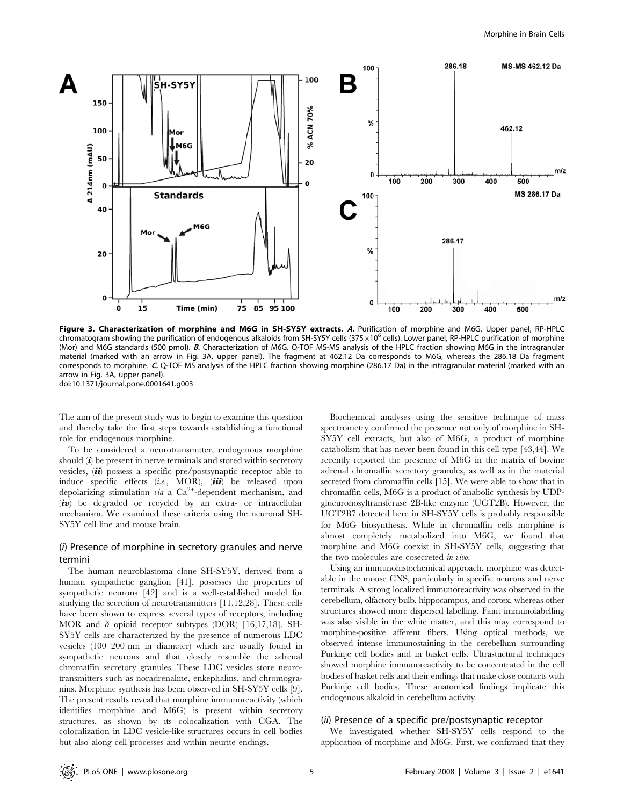

Figure 3. Characterization of morphine and M6G in SH-SY5Y extracts. A. Purification of morphine and M6G. Upper panel, RP-HPLC chromatogram showing the purification of endogenous alkaloids from SH-SY5Y cells (375 $\times$ 10<sup>6</sup> cells). Lower panel, RP-HPLC purification of morphine (Mor) and M6G standards (500 pmol). B. Characterization of M6G. Q-TOF MS-MS analysis of the HPLC fraction showing M6G in the intragranular material (marked with an arrow in Fig. 3A, upper panel). The fragment at 462.12 Da corresponds to M6G, whereas the 286.18 Da fragment corresponds to morphine. C. Q-TOF MS analysis of the HPLC fraction showing morphine (286.17 Da) in the intragranular material (marked with an arrow in Fig. 3A, upper panel). doi:10.1371/journal.pone.0001641.g003

The aim of the present study was to begin to examine this question and thereby take the first steps towards establishing a functional role for endogenous morphine.

To be considered a neurotransmitter, endogenous morphine should  $(i)$  be present in nerve terminals and stored within secretory vesicles,  $\langle \mathbf{i}i \rangle$  possess a specific pre/postsynaptic receptor able to induce specific effects (i.e., MOR), (iii) be released upon depolarizing stimulation *via* a  $Ca^{2+}$ -dependent mechanism, and  $(iv)$  be degraded or recycled by an extra- or intracellular mechanism. We examined these criteria using the neuronal SH-SY5Y cell line and mouse brain.

## (i) Presence of morphine in secretory granules and nerve termini

The human neuroblastoma clone SH-SY5Y, derived from a human sympathetic ganglion [41], possesses the properties of sympathetic neurons [42] and is a well-established model for studying the secretion of neurotransmitters [11,12,28]. These cells have been shown to express several types of receptors, including MOR and  $\delta$  opioid receptor subtypes (DOR) [16,17,18]. SH-SY5Y cells are characterized by the presence of numerous LDC vesicles (100–200 nm in diameter) which are usually found in sympathetic neurons and that closely resemble the adrenal chromaffin secretory granules. These LDC vesicles store neurotransmitters such as noradrenaline, enkephalins, and chromogranins. Morphine synthesis has been observed in SH-SY5Y cells [9]. The present results reveal that morphine immunoreactivity (which identifies morphine and M6G) is present within secretory structures, as shown by its colocalization with CGA. The colocalization in LDC vesicle-like structures occurs in cell bodies but also along cell processes and within neurite endings.

Biochemical analyses using the sensitive technique of mass spectrometry confirmed the presence not only of morphine in SH-SY5Y cell extracts, but also of M6G, a product of morphine catabolism that has never been found in this cell type [43,44]. We recently reported the presence of M6G in the matrix of bovine adrenal chromaffin secretory granules, as well as in the material secreted from chromaffin cells [15]. We were able to show that in chromaffin cells, M6G is a product of anabolic synthesis by UDPglucuronosyltransferase 2B-like enzyme (UGT2B). However, the UGT2B7 detected here in SH-SY5Y cells is probably responsible for M6G biosynthesis. While in chromaffin cells morphine is almost completely metabolized into M6G, we found that morphine and M6G coexist in SH-SY5Y cells, suggesting that the two molecules are cosecreted in vivo.

Using an immunohistochemical approach, morphine was detectable in the mouse CNS, particularly in specific neurons and nerve terminals. A strong localized immunoreactivity was observed in the cerebellum, olfactory bulb, hippocampus, and cortex, whereas other structures showed more dispersed labelling. Faint immunolabelling was also visible in the white matter, and this may correspond to morphine-positive afferent fibers. Using optical methods, we observed intense immunostaining in the cerebellum surrounding Purkinje cell bodies and in basket cells. Ultrastuctural techniques showed morphine immunoreactivity to be concentrated in the cell bodies of basket cells and their endings that make close contacts with Purkinje cell bodies. These anatomical findings implicate this endogenous alkaloid in cerebellum activity.

#### (ii) Presence of a specific pre/postsynaptic receptor

We investigated whether SH-SY5Y cells respond to the application of morphine and M6G. First, we confirmed that they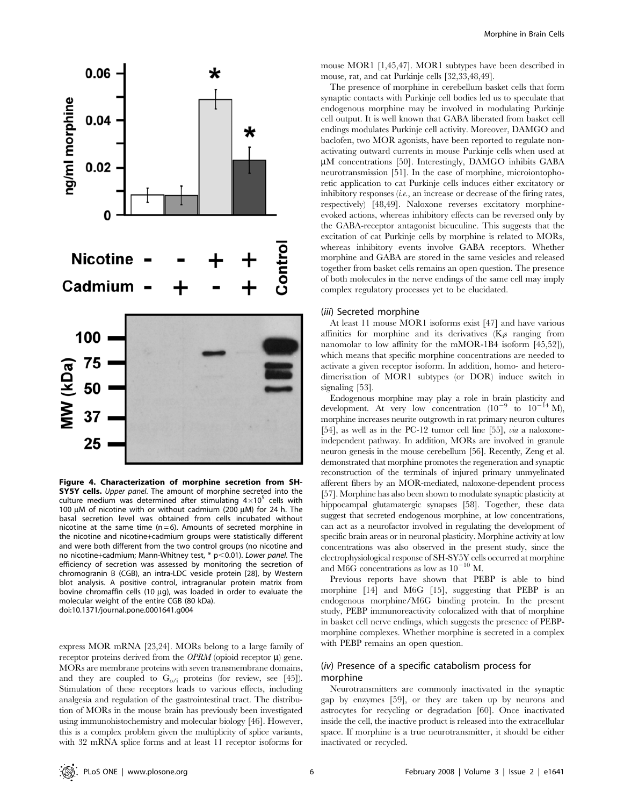

Figure 4. Characterization of morphine secretion from SH-**SY5Y cells.** Upper panel. The amount of morphine secreted into the culture medium was determined after stimulating  $4\times10^5$  cells with 100  $\mu$ M of nicotine with or without cadmium (200  $\mu$ M) for 24 h. The basal secretion level was obtained from cells incubated without nicotine at the same time  $(n=6)$ . Amounts of secreted morphine in the nicotine and nicotine+cadmium groups were statistically different and were both different from the two control groups (no nicotine and no nicotine+cadmium; Mann-Whitney test,  $*$  p $<$ 0.01). Lower panel. The efficiency of secretion was assessed by monitoring the secretion of chromogranin B (CGB), an intra-LDC vesicle protein [28], by Western blot analysis. A positive control, intragranular protein matrix from bovine chromaffin cells (10  $\mu$ g), was loaded in order to evaluate the molecular weight of the entire CGB (80 kDa). doi:10.1371/journal.pone.0001641.g004

express MOR mRNA [23,24]. MORs belong to a large family of receptor proteins derived from the *OPRM* (opioid receptor  $\mu$ ) gene. MORs are membrane proteins with seven transmembrane domains, and they are coupled to  $G_{o/i}$  proteins (for review, see [45]). Stimulation of these receptors leads to various effects, including analgesia and regulation of the gastrointestinal tract. The distribution of MORs in the mouse brain has previously been investigated using immunohistochemistry and molecular biology [46]. However, this is a complex problem given the multiplicity of splice variants, with 32 mRNA splice forms and at least 11 receptor isoforms for mouse MOR1 [1,45,47]. MOR1 subtypes have been described in mouse, rat, and cat Purkinje cells [32,33,48,49].

The presence of morphine in cerebellum basket cells that form synaptic contacts with Purkinje cell bodies led us to speculate that endogenous morphine may be involved in modulating Purkinje cell output. It is well known that GABA liberated from basket cell endings modulates Purkinje cell activity. Moreover, DAMGO and baclofen, two MOR agonists, have been reported to regulate nonactivating outward currents in mouse Purkinje cells when used at µM concentrations [50]. Interestingly, DAMGO inhibits GABA neurotransmission [51]. In the case of morphine, microiontophoretic application to cat Purkinje cells induces either excitatory or inhibitory responses  $(i.e., an increase or decrease of the firing rates,$ respectively) [48,49]. Naloxone reverses excitatory morphineevoked actions, whereas inhibitory effects can be reversed only by the GABA-receptor antagonist bicuculine. This suggests that the excitation of cat Purkinje cells by morphine is related to MORs, whereas inhibitory events involve GABA receptors. Whether morphine and GABA are stored in the same vesicles and released together from basket cells remains an open question. The presence of both molecules in the nerve endings of the same cell may imply complex regulatory processes yet to be elucidated.

## (iii) Secreted morphine

At least 11 mouse MOR1 isoforms exist [47] and have various affinities for morphine and its derivatives (K<sub>i</sub>s ranging from nanomolar to low affinity for the mMOR-1B4 isoform [45,52]), which means that specific morphine concentrations are needed to activate a given receptor isoform. In addition, homo- and heterodimerisation of MOR1 subtypes (or DOR) induce switch in signaling [53].

Endogenous morphine may play a role in brain plasticity and development. At very low concentration  $(10^{-9}$  to  $10^{-14}$  M), morphine increases neurite outgrowth in rat primary neuron cultures [54], as well as in the PC-12 tumor cell line [55], via a naloxoneindependent pathway. In addition, MORs are involved in granule neuron genesis in the mouse cerebellum [56]. Recently, Zeng et al. demonstrated that morphine promotes the regeneration and synaptic reconstruction of the terminals of injured primary unmyelinated afferent fibers by an MOR-mediated, naloxone-dependent process [57]. Morphine has also been shown to modulate synaptic plasticity at hippocampal glutamatergic synapses [58]. Together, these data suggest that secreted endogenous morphine, at low concentrations, can act as a neurofactor involved in regulating the development of specific brain areas or in neuronal plasticity. Morphine activity at low concentrations was also observed in the present study, since the electrophysiological response of SH-SY5Y cells occurred at morphine and M6G concentrations as low as  $10^{-10}$  M.

Previous reports have shown that PEBP is able to bind morphine [14] and M6G [15], suggesting that PEBP is an endogenous morphine/M6G binding protein. In the present study, PEBP immunoreactivity colocalized with that of morphine in basket cell nerve endings, which suggests the presence of PEBPmorphine complexes. Whether morphine is secreted in a complex with PEBP remains an open question.

# (iv) Presence of a specific catabolism process for morphine

Neurotransmitters are commonly inactivated in the synaptic gap by enzymes [59], or they are taken up by neurons and astrocytes for recycling or degradation [60]. Once inactivated inside the cell, the inactive product is released into the extracellular space. If morphine is a true neurotransmitter, it should be either inactivated or recycled.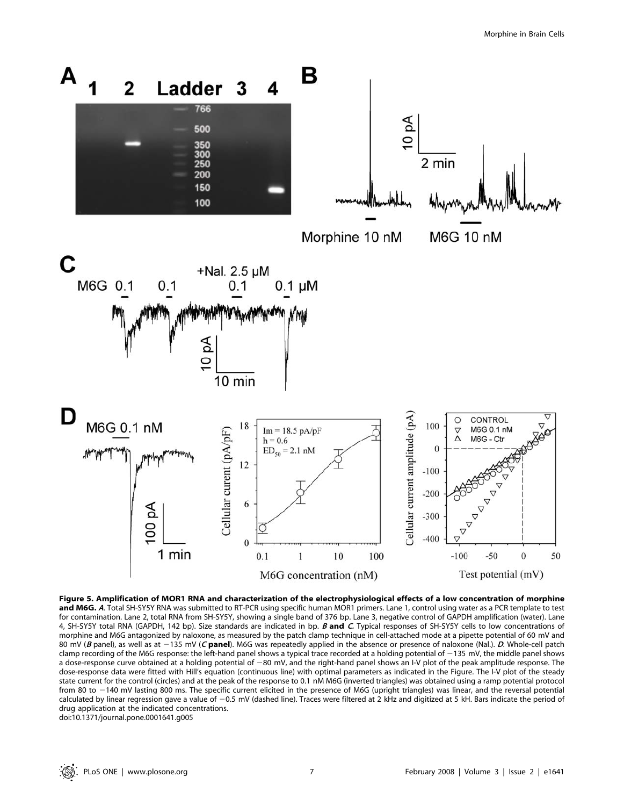

Figure 5. Amplification of MOR1 RNA and characterization of the electrophysiological effects of a low concentration of morphine and M6G. A. Total SH-SY5Y RNA was submitted to RT-PCR using specific human MOR1 primers. Lane 1, control using water as a PCR template to test for contamination. Lane 2, total RNA from SH-SY5Y, showing a single band of 376 bp. Lane 3, negative control of GAPDH amplification (water). Lane 4, SH-SY5Y total RNA (GAPDH, 142 bp). Size standards are indicated in bp. B and C. Typical responses of SH-SY5Y cells to low concentrations of morphine and M6G antagonized by naloxone, as measured by the patch clamp technique in cell-attached mode at a pipette potential of 60 mV and 80 mV (B panel), as well as at  $-135$  mV (C panel). M6G was repeatedly applied in the absence or presence of naloxone (Nal.). D. Whole-cell patch clamp recording of the M6G response: the left-hand panel shows a typical trace recorded at a holding potential of  $-135$  mV, the middle panel shows a dose-response curve obtained at a holding potential of -80 mV, and the right-hand panel shows an I-V plot of the peak amplitude response. The dose-response data were fitted with Hill's equation (continuous line) with optimal parameters as indicated in the Figure. The I-V plot of the steady state current for the control (circles) and at the peak of the response to 0.1 nM M6G (inverted triangles) was obtained using a ramp potential protocol from 80 to 2140 mV lasting 800 ms. The specific current elicited in the presence of M6G (upright triangles) was linear, and the reversal potential calculated by linear regression gave a value of -0.5 mV (dashed line). Traces were filtered at 2 kHz and digitized at 5 kH. Bars indicate the period of drug application at the indicated concentrations. doi:10.1371/journal.pone.0001641.g005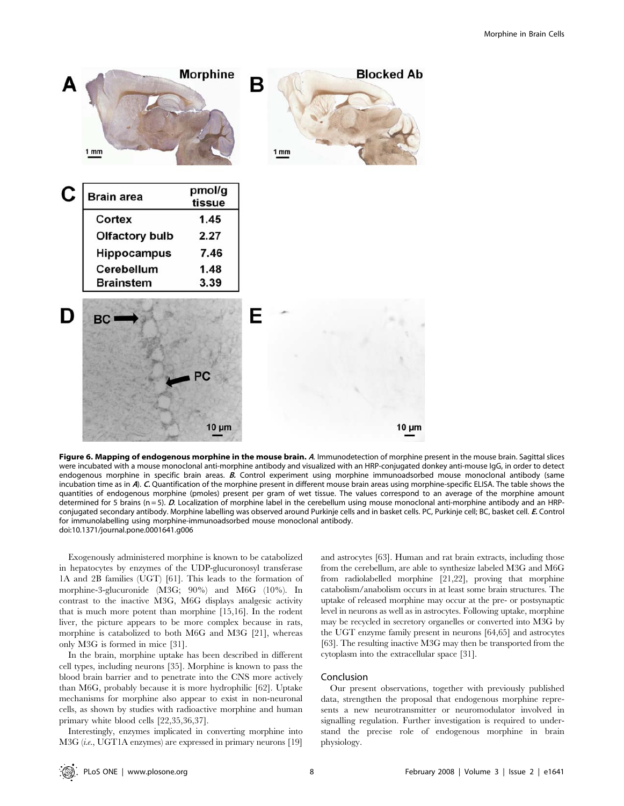

Figure 6. Mapping of endogenous morphine in the mouse brain. A. Immunodetection of morphine present in the mouse brain. Sagittal slices were incubated with a mouse monoclonal anti-morphine antibody and visualized with an HRP-conjugated donkey anti-mouse IgG, in order to detect endogenous morphine in specific brain areas. B. Control experiment using morphine immunoadsorbed mouse monoclonal antibody (same incubation time as in A). C. Quantification of the morphine present in different mouse brain areas using morphine-specific ELISA. The table shows the quantities of endogenous morphine (pmoles) present per gram of wet tissue. The values correspond to an average of the morphine amount determined for 5 brains ( $n = 5$ ). D. Localization of morphine label in the cerebellum using mouse monoclonal anti-morphine antibody and an HRPconjugated secondary antibody. Morphine labelling was observed around Purkinje cells and in basket cells. PC, Purkinje cell; BC, basket cell. E. Control for immunolabelling using morphine-immunoadsorbed mouse monoclonal antibody. doi:10.1371/journal.pone.0001641.g006

Exogenously administered morphine is known to be catabolized in hepatocytes by enzymes of the UDP-glucuronosyl transferase 1A and 2B families (UGT) [61]. This leads to the formation of morphine-3-glucuronide (M3G; 90%) and M6G (10%). In contrast to the inactive M3G, M6G displays analgesic activity that is much more potent than morphine [15,16]. In the rodent liver, the picture appears to be more complex because in rats, morphine is catabolized to both M6G and M3G [21], whereas only M3G is formed in mice [31].

In the brain, morphine uptake has been described in different cell types, including neurons [35]. Morphine is known to pass the blood brain barrier and to penetrate into the CNS more actively than M6G, probably because it is more hydrophilic [62]. Uptake mechanisms for morphine also appear to exist in non-neuronal cells, as shown by studies with radioactive morphine and human primary white blood cells [22,35,36,37].

Interestingly, enzymes implicated in converting morphine into M3G (i.e., UGT1A enzymes) are expressed in primary neurons [19] and astrocytes [63]. Human and rat brain extracts, including those from the cerebellum, are able to synthesize labeled M3G and M6G from radiolabelled morphine [21,22], proving that morphine catabolism/anabolism occurs in at least some brain structures. The uptake of released morphine may occur at the pre- or postsynaptic level in neurons as well as in astrocytes. Following uptake, morphine may be recycled in secretory organelles or converted into M3G by the UGT enzyme family present in neurons [64,65] and astrocytes [63]. The resulting inactive M3G may then be transported from the cytoplasm into the extracellular space [31].

# Conclusion

Our present observations, together with previously published data, strengthen the proposal that endogenous morphine represents a new neurotransmitter or neuromodulator involved in signalling regulation. Further investigation is required to understand the precise role of endogenous morphine in brain physiology.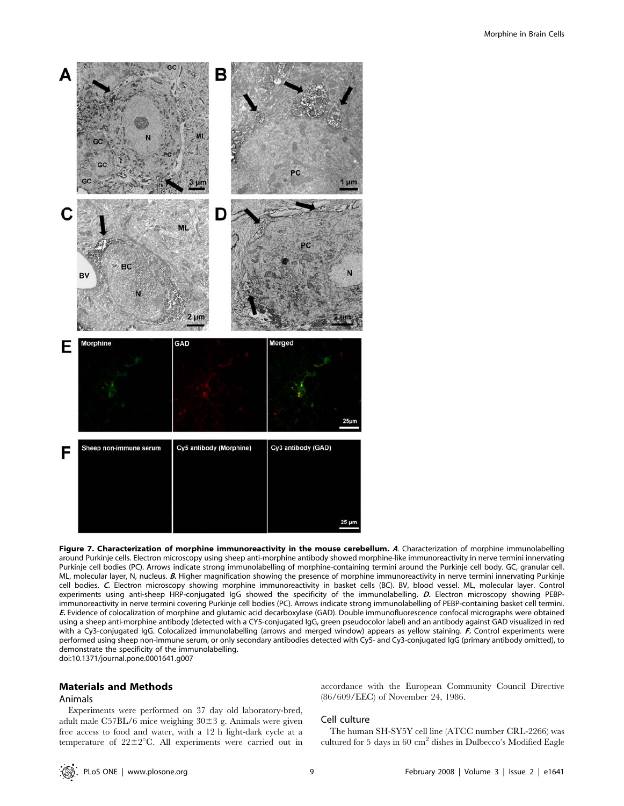

Figure 7. Characterization of morphine immunoreactivity in the mouse cerebellum. A. Characterization of morphine immunolabelling around Purkinje cells. Electron microscopy using sheep anti-morphine antibody showed morphine-like immunoreactivity in nerve termini innervating Purkinje cell bodies (PC). Arrows indicate strong immunolabelling of morphine-containing termini around the Purkinje cell body. GC, granular cell. ML, molecular layer, N, nucleus. B. Higher magnification showing the presence of morphine immunoreactivity in nerve termini innervating Purkinje cell bodies. C. Electron microscopy showing morphine immunoreactivity in basket cells (BC). BV, blood vessel. ML, molecular layer. Control experiments using anti-sheep HRP-conjugated IgG showed the specificity of the immunolabelling. D. Electron microscopy showing PEBPimmunoreactivity in nerve termini covering Purkinje cell bodies (PC). Arrows indicate strong immunolabelling of PEBP-containing basket cell termini. E. Evidence of colocalization of morphine and glutamic acid decarboxylase (GAD). Double immunofluorescence confocal micrographs were obtained using a sheep anti-morphine antibody (detected with a CY5-conjugated IgG, green pseudocolor label) and an antibody against GAD visualized in red with a Cy3-conjugated IgG. Colocalized immunolabelling (arrows and merged window) appears as yellow staining. F. Control experiments were performed using sheep non-immune serum, or only secondary antibodies detected with Cy5- and Cy3-conjugated IgG (primary antibody omitted), to demonstrate the specificity of the immunolabelling. doi:10.1371/journal.pone.0001641.g007

# Materials and Methods

## Animals

Experiments were performed on 37 day old laboratory-bred, adult male C57BL/6 mice weighing  $30\pm3$  g. Animals were given free access to food and water, with a 12 h light-dark cycle at a temperature of  $22 \pm 2^{\circ}$ C. All experiments were carried out in accordance with the European Community Council Directive (86/609/EEC) of November 24, 1986.

#### Cell culture

The human SH-SY5Y cell line (ATCC number CRL-2266) was cultured for 5 days in 60 cm2 dishes in Dulbecco's Modified Eagle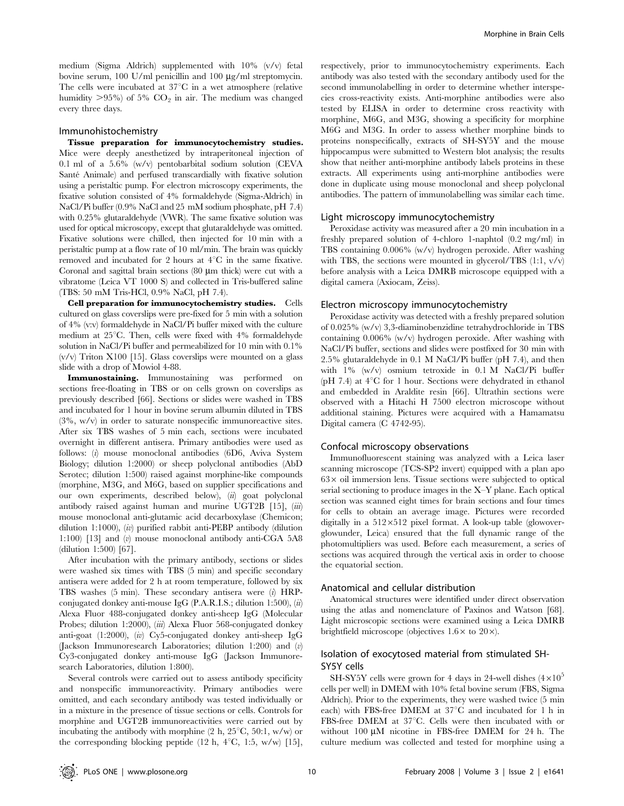medium (Sigma Aldrich) supplemented with 10% (v/v) fetal bovine serum, 100 U/ml penicillin and 100  $\mu$ g/ml streptomycin. The cells were incubated at  $37^{\circ}$ C in a wet atmosphere (relative humidity  $>95\%$  of 5% CO<sub>2</sub> in air. The medium was changed every three days.

#### Immunohistochemistry

Tissue preparation for immunocytochemistry studies. Mice were deeply anesthetized by intraperitoneal injection of 0.1 ml of a 5.6% (w/v) pentobarbital sodium solution (CEVA Santé Animale) and perfused transcardially with fixative solution using a peristaltic pump. For electron microscopy experiments, the fixative solution consisted of 4% formaldehyde (Sigma-Aldrich) in NaCl/Pi buffer (0.9% NaCl and 25 mM sodium phosphate, pH 7.4) with 0.25% glutaraldehyde (VWR). The same fixative solution was used for optical microscopy, except that glutaraldehyde was omitted. Fixative solutions were chilled, then injected for 10 min with a peristaltic pump at a flow rate of 10 ml/min. The brain was quickly removed and incubated for 2 hours at  $4^{\circ}$ C in the same fixative. Coronal and sagittal brain sections  $(80 \mu m)$  thick) were cut with a vibratome (Leica VT 1000 S) and collected in Tris-buffered saline (TBS: 50 mM Tris-HCl, 0.9% NaCl, pH 7.4).

Cell preparation for immunocytochemistry studies. Cells cultured on glass coverslips were pre-fixed for 5 min with a solution of 4% (v:v) formaldehyde in NaCl/Pi buffer mixed with the culture medium at  $25^{\circ}$ C. Then, cells were fixed with 4% formaldehyde solution in NaCl/Pi buffer and permeabilized for 10 min with 0.1%  $(v/v)$  Triton X100 [15]. Glass coverslips were mounted on a glass slide with a drop of Mowiol 4-88.

Immunostaining. Immunostaining was performed on sections free-floating in TBS or on cells grown on coverslips as previously described [66]. Sections or slides were washed in TBS and incubated for 1 hour in bovine serum albumin diluted in TBS (3%, w/v) in order to saturate nonspecific immunoreactive sites. After six TBS washes of 5 min each, sections were incubated overnight in different antisera. Primary antibodies were used as follows: (i) mouse monoclonal antibodies (6D6, Aviva System Biology; dilution 1:2000) or sheep polyclonal antibodies (AbD Serotec; dilution 1:500) raised against morphine-like compounds (morphine, M3G, and M6G, based on supplier specifications and our own experiments, described below), (ii) goat polyclonal antibody raised against human and murine UGT2B [15], (iii) mouse monoclonal anti-glutamic acid decarboxylase (Chemicon; dilution 1:1000), (*iv*) purified rabbit anti-PEBP antibody (dilution 1:100) [13] and (v) mouse monoclonal antibody anti-CGA 5A8 (dilution 1:500) [67].

After incubation with the primary antibody, sections or slides were washed six times with TBS (5 min) and specific secondary antisera were added for 2 h at room temperature, followed by six TBS washes (5 min). These secondary antisera were (i) HRPconjugated donkey anti-mouse IgG (P.A.R.I.S.; dilution 1:500),  $\overline{u}$ Alexa Fluor 488-conjugated donkey anti-sheep IgG (Molecular Probes; dilution 1:2000), *(iii)* Alexa Fluor 568-conjugated donkey anti-goat (1:2000), (iv) Cy5-conjugated donkey anti-sheep IgG (Jackson Immunoresearch Laboratories; dilution 1:200) and (v) Cy3-conjugated donkey anti-mouse IgG (Jackson Immunoresearch Laboratories, dilution 1:800).

Several controls were carried out to assess antibody specificity and nonspecific immunoreactivity. Primary antibodies were omitted, and each secondary antibody was tested individually or in a mixture in the presence of tissue sections or cells. Controls for morphine and UGT2B immunoreactivities were carried out by incubating the antibody with morphine  $(2 \text{ h}, 25^{\circ} \text{C}, 50:1, \text{w/w})$  or the corresponding blocking peptide (12 h,  $4^{\circ}$ C, 1:5, w/w) [15], respectively, prior to immunocytochemistry experiments. Each antibody was also tested with the secondary antibody used for the second immunolabelling in order to determine whether interspecies cross-reactivity exists. Anti-morphine antibodies were also tested by ELISA in order to determine cross reactivity with morphine, M6G, and M3G, showing a specificity for morphine M6G and M3G. In order to assess whether morphine binds to proteins nonspecifically, extracts of SH-SY5Y and the mouse hippocampus were submitted to Western blot analysis; the results show that neither anti-morphine antibody labels proteins in these extracts. All experiments using anti-morphine antibodies were done in duplicate using mouse monoclonal and sheep polyclonal antibodies. The pattern of immunolabelling was similar each time.

#### Light microscopy immunocytochemistry

Peroxidase activity was measured after a 20 min incubation in a freshly prepared solution of 4-chloro 1-naphtol (0.2 mg/ml) in TBS containing 0.006% (w/v) hydrogen peroxide. After washing with TBS, the sections were mounted in glycerol/TBS  $(1:1, v/v)$ before analysis with a Leica DMRB microscope equipped with a digital camera (Axiocam, Zeiss).

#### Electron microscopy immunocytochemistry

Peroxidase activity was detected with a freshly prepared solution of 0.025% (w/v) 3,3-diaminobenzidine tetrahydrochloride in TBS containing 0.006% (w/v) hydrogen peroxide. After washing with NaCl/Pi buffer, sections and slides were postfixed for 30 min with 2.5% glutaraldehyde in 0.1 M NaCl/Pi buffer (pH 7.4), and then with 1% (w/v) osmium tetroxide in 0.1 M NaCl/Pi buffer (pH 7.4) at  $4^{\circ}$ C for 1 hour. Sections were dehydrated in ethanol and embedded in Araldite resin [66]. Ultrathin sections were observed with a Hitachi H 7500 electron microscope without additional staining. Pictures were acquired with a Hamamatsu Digital camera (C 4742-95).

#### Confocal microscopy observations

Immunofluorescent staining was analyzed with a Leica laser scanning microscope (TCS-SP2 invert) equipped with a plan apo  $63\times$  oil immersion lens. Tissue sections were subjected to optical serial sectioning to produce images in the X–Y plane. Each optical section was scanned eight times for brain sections and four times for cells to obtain an average image. Pictures were recorded digitally in a  $512\times512$  pixel format. A look-up table (glowoverglowunder, Leica) ensured that the full dynamic range of the photomultipliers was used. Before each measurement, a series of sections was acquired through the vertical axis in order to choose the equatorial section.

### Anatomical and cellular distribution

Anatomical structures were identified under direct observation using the atlas and nomenclature of Paxinos and Watson [68]. Light microscopic sections were examined using a Leica DMRB brightfield microscope (objectives  $1.6 \times$  to  $20 \times$ ).

# Isolation of exocytosed material from stimulated SH-SY5Y cells

SH-SY5Y cells were grown for 4 days in 24-well dishes  $(4\times10^5$ cells per well) in DMEM with 10% fetal bovine serum (FBS, Sigma Aldrich). Prior to the experiments, they were washed twice (5 min each) with FBS-free DMEM at  $37^{\circ}$ C and incubated for 1 h in FBS-free DMEM at 37°C. Cells were then incubated with or without  $100 \mu M$  nicotine in FBS-free DMEM for 24 h. The culture medium was collected and tested for morphine using a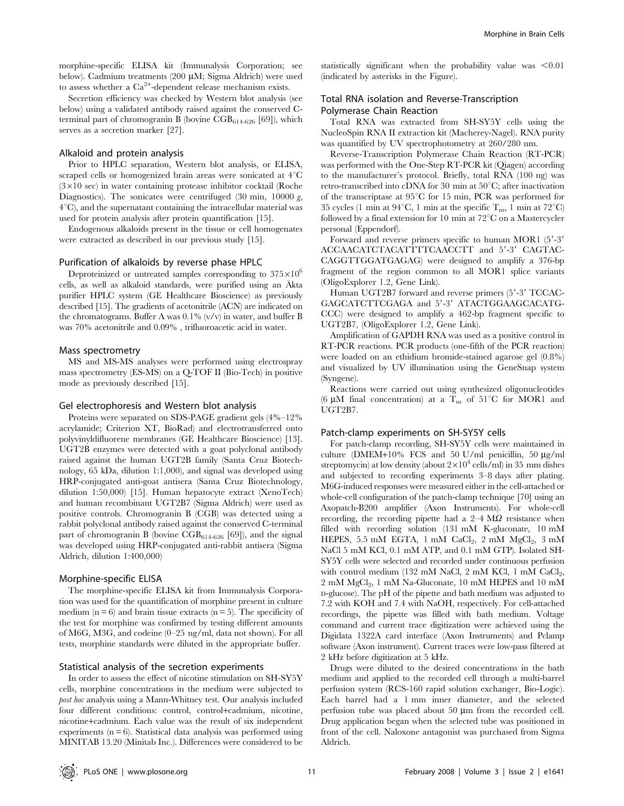morphine-specific ELISA kit (Immunalysis Corporation; see below). Cadmium treatments  $(200 \mu M; Sigma$  Aldrich) were used to assess whether a  $\text{Ca}^{2+}$ -dependent release mechanism exists.

Secretion efficiency was checked by Western blot analysis (see below) using a validated antibody raised against the conserved Cterminal part of chromogranin B (bovine  $CGB_{614-626}$  [69]), which serves as a secretion marker [27].

#### Alkaloid and protein analysis

Prior to HPLC separation, Western blot analysis, or ELISA, scraped cells or homogenized brain areas were sonicated at  $4^{\circ}\mathrm{C}$  $(3\times10 \text{ sec})$  in water containing protease inhibitor cocktail (Roche Diagnostics). The sonicates were centrifuged (30 min, 10000  $g$ ,  $4^{\circ}$ C), and the supernatant containing the intracellular material was used for protein analysis after protein quantification [15].

Endogenous alkaloids present in the tissue or cell homogenates were extracted as described in our previous study [15].

#### Purification of alkaloids by reverse phase HPLC

Deproteinized or untreated samples corresponding to  $375\times10^{6}$ cells, as well as alkaloid standards, were purified using an Äkta purifier HPLC system (GE Healthcare Bioscience) as previously described [15]. The gradients of acetonitrile (ACN) are indicated on the chromatograms. Buffer A was  $0.1\%$  (v/v) in water, and buffer B was 70% acetonitrile and 0.09% , trifluoroacetic acid in water.

#### Mass spectrometry

MS and MS-MS analyses were performed using electrospray mass spectrometry (ES-MS) on a Q-TOF II (Bio-Tech) in positive mode as previously described [15].

### Gel electrophoresis and Western blot analysis

Proteins were separated on SDS-PAGE gradient gels (4%–12% acrylamide; Criterion XT, BioRad) and electrotransferred onto polyvinyldifluorene membranes (GE Healthcare Bioscience) [13]. UGT2B enzymes were detected with a goat polyclonal antibody raised against the human UGT2B family (Santa Cruz Biotechnology, 65 kDa, dilution 1:1,000), and signal was developed using HRP-conjugated anti-goat antisera (Santa Cruz Biotechnology, dilution 1:50,000) [15]. Human hepatocyte extract (XenoTech) and human recombinant UGT2B7 (Sigma Aldrich) were used as positive controls. Chromogranin B (CGB) was detected using a rabbit polyclonal antibody raised against the conserved C-terminal part of chromogranin B (bovine CGB614-626 [69]), and the signal was developed using HRP-conjugated anti-rabbit antisera (Sigma Aldrich, dilution 1:400,000)

#### Morphine-specific ELISA

The morphine-specific ELISA kit from Immunalysis Corporation was used for the quantification of morphine present in culture medium  $(n = 6)$  and brain tissue extracts  $(n = 5)$ . The specificity of the test for morphine was confirmed by testing different amounts of M6G, M3G, and codeine (0–25 ng/ml, data not shown). For all tests, morphine standards were diluted in the appropriate buffer.

## Statistical analysis of the secretion experiments

In order to assess the effect of nicotine stimulation on SH-SY5Y cells, morphine concentrations in the medium were subjected to post hoc analysis using a Mann-Whitney test. Our analysis included four different conditions: control, control+cadmium, nicotine, nicotine+cadmium. Each value was the result of six independent experiments  $(n = 6)$ . Statistical data analysis was performed using MINITAB 13.20 (Minitab Inc.). Differences were considered to be

statistically significant when the probability value was  $\leq 0.01$ (indicated by asterisks in the Figure).

# Total RNA isolation and Reverse-Transcription Polymerase Chain Reaction

Total RNA was extracted from SH-SY5Y cells using the NucleoSpin RNA II extraction kit (Macherey-Nagel). RNA purity was quantified by UV spectrophotometry at 260/280 nm.

Reverse-Transcription Polymerase Chain Reaction (RT-PCR) was performed with the One-Step RT-PCR kit (Qiagen) according to the manufacturer's protocol. Briefly, total RNA (100 ng) was retro-transcribed into cDNA for 30 min at  $50^{\circ}$ C; after inactivation of the transcriptase at  $95^{\circ}$ C for 15 min, PCR was performed for 35 cycles (1 min at  $94^{\circ}$ C, 1 min at the specific  $T_m$ , 1 min at  $72^{\circ}$ C) followed by a final extension for 10 min at  $72^{\circ}$ C on a Mastercycler personal (Eppendorf).

Forward and reverse primers specific to human MOR1 (5'-3' ACCAACATCTACATTTTCAACCTT and 5'-3' CAGTAC-CAGGTTGGATGAGAG) were designed to amplify a 376-bp fragment of the region common to all MOR1 splice variants (OligoExplorer 1.2, Gene Link).

Human UGT2B7 forward and reverse primers (5'-3' TCCAC-GAGCATCTTCGAGA and 5'-3' ATACTGGAAGCACATG-CCC) were designed to amplify a 462-bp fragment specific to UGT2B7, (OligoExplorer 1.2, Gene Link).

Amplification of GAPDH RNA was used as a positive control in RT-PCR reactions. PCR products (one-fifth of the PCR reaction) were loaded on an ethidium bromide-stained agarose gel (0.8%) and visualized by UV illumination using the GeneSnap system (Syngene).

Reactions were carried out using synthesized oligonucleotides (6  $\mu$ M final concentration) at a T<sub>m</sub> of 51°C for MOR1 and UGT2B7.

## Patch-clamp experiments on SH-SY5Y cells

For patch-clamp recording, SH-SY5Y cells were maintained in culture (DMEM+10% FCS and 50 U/ml penicillin, 50  $\mu$ g/ml streptomycin) at low density (about  $2\times10^4$  cells/ml) in 35 mm dishes and subjected to recording experiments 3–8 days after plating. M6G-induced responses were measured either in the cell-attached or whole-cell configuration of the patch-clamp technique [70] using an Axopatch-B200 amplifier (Axon Instruments). For whole-cell recording, the recording pipette had a  $2-4$  M $\Omega$  resistance when filled with recording solution (131 mM K-gluconate, 10 mM HEPES,  $5.5$  mM EGTA, 1 mM CaCl<sub>2</sub>, 2 mM MgCl<sub>2</sub>, 3 mM NaCl 5 mM KCl, 0.1 mM ATP, and 0.1 mM GTP). Isolated SH-SY5Y cells were selected and recorded under continuous perfusion with control medium (132 mM NaCl, 2 mM KCl, 1 mM  $CaCl<sub>2</sub>$ , 2 mM MgCl<sub>2</sub>, 1 mM Na-Gluconate, 10 mM HEPES and 10 mM D-glucose). The pH of the pipette and bath medium was adjusted to 7.2 with KOH and 7.4 with NaOH, respectively. For cell-attached recordings, the pipette was filled with bath medium. Voltage command and current trace digitization were achieved using the Digidata 1322A card interface (Axon Instruments) and Pclamp software (Axon instrument). Current traces were low-pass filtered at 2 kHz before digitization at 5 kHz.

Drugs were diluted to the desired concentrations in the bath medium and applied to the recorded cell through a multi-barrel perfusion system (RCS-160 rapid solution exchanger, Bio-Logic). Each barrel had a 1 mm inner diameter, and the selected perfusion tube was placed about 50  $\mu$ m from the recorded cell. Drug application began when the selected tube was positioned in front of the cell. Naloxone antagonist was purchased from Sigma Aldrich.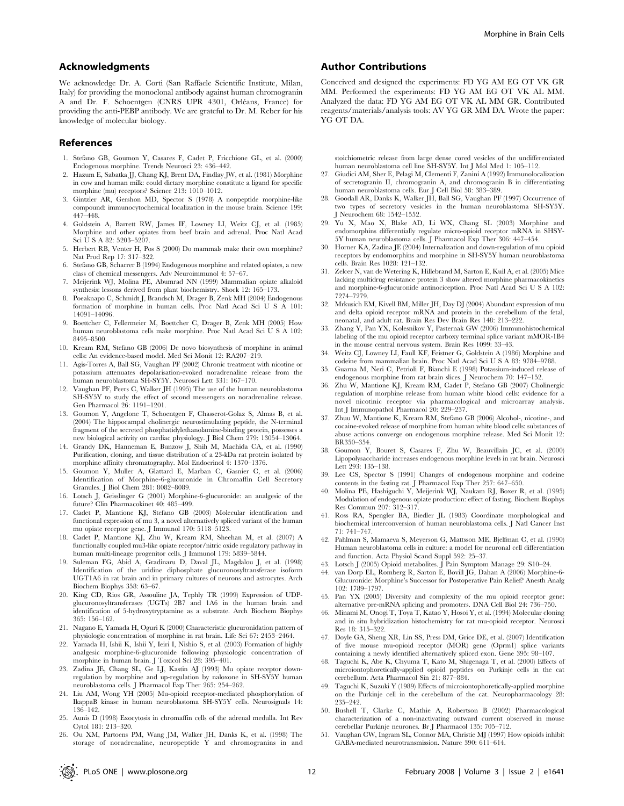## Acknowledgments

We acknowledge Dr. A. Corti (San Raffaele Scientific Institute, Milan, Italy) for providing the monoclonal antibody against human chromogranin A and Dr. F. Schoentgen (CNRS UPR 4301, Orléans, France) for providing the anti-PEBP antibody. We are grateful to Dr. M. Reber for his knowledge of molecular biology.

### References

- 1. Stefano GB, Goumon Y, Casares F, Cadet P, Fricchione GL, et al. (2000) Endogenous morphine. Trends Neurosci 23: 436–442.
- 2. Hazum E, Sabatka JJ, Chang KJ, Brent DA, Findlay JW, et al. (1981) Morphine in cow and human milk: could dietary morphine constitute a ligand for specific morphine (mu) receptors? Science 213: 1010–1012.
- 3. Gintzler AR, Gershon MD, Spector S (1978) A nonpeptide morphine-like compound: immunocytochemical localization in the mouse brain. Science 199: 447–448.
- 4. Goldstein A, Barrett RW, James IF, Lowney LI, Weitz CJ, et al. (1985) Morphine and other opiates from beef brain and adrenal. Proc Natl Acad Sci U S A 82: 5203–5207.
- 5. Herbert RB, Venter H, Pos S (2000) Do mammals make their own morphine? Nat Prod Rep 17: 317–322.
- 6. Stefano GB, Scharrer B (1994) Endogenous morphine and related opiates, a new class of chemical messengers. Adv Neuroimmunol 4: 57–67.
- 7. Meijerink WJ, Molina PE, Abumrad NN (1999) Mammalian opiate alkaloid synthesis: lessons derived from plant biochemistry. Shock 12: 165–173.
- 8. Poeaknapo C, Schmidt J, Brandsch M, Drager B, Zenk MH (2004) Endogenous formation of morphine in human cells. Proc Natl Acad Sci U S A 101: 14091–14096.
- 9. Boettcher C, Fellermeier M, Boettcher C, Drager B, Zenk MH (2005) How human neuroblastoma cells make morphine. Proc Natl Acad Sci U S A 102: 8495–8500.
- 10. Kream RM, Stefano GB (2006) De novo biosynthesis of morphine in animal cells: An evidence-based model. Med Sci Monit 12: RA207–219.
- 11. Agis-Torres A, Ball SG, Vaughan PF (2002) Chronic treatment with nicotine or potassium attenuates depolarisation-evoked noradrenaline release from the human neuroblastoma SH-SY5Y. Neurosci Lett 331: 167–170.
- 12. Vaughan PF, Peers C, Walker JH (1995) The use of the human neuroblastoma SH-SY5Y to study the effect of second messengers on noradrenaline release. Gen Pharmacol 26: 1191–1201.
- 13. Goumon Y, Angelone T, Schoentgen F, Chasserot-Golaz S, Almas B, et al. (2004) The hippocampal cholinergic neurostimulating peptide, the N-terminal fragment of the secreted phosphatidylethanolamine-binding protein, possesses a new biological activity on cardiac physiology. J Biol Chem 279: 13054–13064.
- 14. Grandy DK, Hanneman E, Bunzow J, Shih M, Machida CA, et al. (1990) Purification, cloning, and tissue distribution of a 23-kDa rat protein isolated by morphine affinity chromatography. Mol Endocrinol 4: 1370–1376.
- 15. Goumon Y, Muller A, Glattard E, Marban C, Gasnier C, et al. (2006) Identification of Morphine-6-glucuronide in Chromaffin Cell Secretory Granules. J Biol Chem 281: 8082–8089.
- 16. Lotsch J, Geisslinger G (2001) Morphine-6-glucuronide: an analgesic of the future? Clin Pharmacokinet 40: 485–499.
- 17. Cadet P, Mantione KJ, Stefano GB (2003) Molecular identification and functional expression of mu 3, a novel alternatively spliced variant of the human mu opiate receptor gene. J Immunol 170: 5118–5123.
- 18. Cadet P, Mantione KJ, Zhu W, Kream RM, Sheehan M, et al. (2007) A functionally coupled mu3-like opiate receptor/nitric oxide regulatory pathway in human multi-lineage progenitor cells. J Immunol 179: 5839–5844.
- 19. Suleman FG, Abid A, Gradinaru D, Daval JL, Magdalou J, et al. (1998) Identification of the uridine diphosphate glucuronosyltransferase isoform UGT1A6 in rat brain and in primary cultures of neurons and astrocytes. Arch Biochem Biophys 358: 63–67.
- 20. King CD, Rios GR, Assouline JA, Tephly TR (1999) Expression of UDPglucuronosyltransferases (UGTs) 2B7 and 1A6 in the human brain and identification of 5-hydroxytryptamine as a substrate. Arch Biochem Biophys 365: 156–162.
- 21. Nagano E, Yamada H, Oguri K (2000) Characteristic glucuronidation pattern of physiologic concentration of morphine in rat brain. Life Sci 67: 2453–2464.
- 22. Yamada H, Ishii K, Ishii Y, Ieiri I, Nishio S, et al. (2003) Formation of highly analgesic morphine-6-glucuronide following physiologic concentration of morphine in human brain. J Toxicol Sci 28: 395–401.
- 23. Zadina JE, Chang SL, Ge LJ, Kastin AJ (1993) Mu opiate receptor downregulation by morphine and up-regulation by naloxone in SH-SY5Y human neuroblastoma cells. J Pharmacol Exp Ther 265: 254–262.
- 24. Liu AM, Wong YH (2005) Mu-opioid receptor-mediated phosphorylation of IkappaB kinase in human neuroblastoma SH-SY5Y cells. Neurosignals 14: 136–142.
- 25. Aunis D (1998) Exocytosis in chromaffin cells of the adrenal medulla. Int Rev Cytol 181: 213–320.
- 26. Ou XM, Partoens PM, Wang JM, Walker JH, Danks K, et al. (1998) The storage of noradrenaline, neuropeptide Y and chromogranins in and

## Author Contributions

Conceived and designed the experiments: FD YG AM EG OT VK GR MM. Performed the experiments: FD YG AM EG OT VK AL MM. Analyzed the data: FD YG AM EG OT VK AL MM GR. Contributed reagents/materials/analysis tools: AV YG GR MM DA. Wrote the paper: YG OT DA.

stoichiometric release from large dense cored vesicles of the undifferentiated human neuroblastoma cell line SH-SY5Y. Int J Mol Med 1: 105–112.

- 27. Giudici AM, Sher E, Pelagi M, Clementi F, Zanini A (1992) Immunolocalization of secretogranin II, chromogranin A, and chromogranin B in differentiating human neuroblastoma cells. Eur J Cell Biol 58: 383–389.
- 28. Goodall AR, Danks K, Walker JH, Ball SG, Vaughan PF (1997) Occurrence of two types of secretory vesicles in the human neuroblastoma SH-SY5Y. J Neurochem 68: 1542–1552.
- 29. Yu X, Mao X, Blake AD, Li WX, Chang SL (2003) Morphine and endomorphins differentially regulate micro-opioid receptor mRNA in SHSY-5Y human neuroblastoma cells. J Pharmacol Exp Ther 306: 447–454.
- 30. Horner KA, Zadina JE (2004) Internalization and down-regulation of mu opioid receptors by endomorphins and morphine in SH-SY5Y human neuroblastoma cells. Brain Res 1028: 121–132.
- 31. Zelcer N, van de Wetering K, Hillebrand M, Sarton E, Kuil A, et al. (2005) Mice lacking multidrug resistance protein 3 show altered morphine pharmacokinetics and morphine-6-glucuronide antinociception. Proc Natl Acad Sci U S A 102: 7274–7279.
- 32. Mrkusich EM, Kivell BM, Miller JH, Day DJ (2004) Abundant expression of mu and delta opioid receptor mRNA and protein in the cerebellum of the fetal, neonatal, and adult rat. Brain Res Dev Brain Res 148: 213–222.
- 33. Zhang Y, Pan YX, Kolesnikov Y, Pasternak GW (2006) Immunohistochemical labeling of the mu opioid receptor carboxy terminal splice variant mMOR-1B4 in the mouse central nervous system. Brain Res 1099: 33–43.
- 34. Weitz CJ, Lowney LI, Faull KF, Feistner G, Goldstein A (1986) Morphine and codeine from mammalian brain. Proc Natl Acad Sci U S A 83: 9784–9788.
- 35. Guarna M, Neri C, Petrioli F, Bianchi E (1998) Potassium-induced release of endogenous morphine from rat brain slices. J Neurochem 70: 147–152. 36. Zhu W, Mantione KJ, Kream RM, Cadet P, Stefano GB (2007) Cholinergic
- regulation of morphine release from human white blood cells: evidence for a novel nicotinic receptor via pharmacological and microarray analysis. Int J Immunopathol Pharmacol 20: 229–237.
- 37. Zhuu W, Mantione K, Kream RM, Stefano GB (2006) Alcohol-, nicotine-, and cocaine-evoked release of morphine from human white blood cells: substances of abuse actions converge on endogenous morphine release. Med Sci Monit 12: BR350–354.
- 38. Goumon Y, Bouret S, Casares F, Zhu W, Beauvillain JC, et al. (2000) Lipopolysaccharide increases endogenous morphine levels in rat brain. Neurosci Lett 293: 135–138.
- 39. Lee CS, Spector S (1991) Changes of endogenous morphine and codeine contents in the fasting rat. J Pharmacol Exp Ther 257: 647–650.
- 40. Molina PE, Hashiguchi Y, Meijerink WJ, Naukam RJ, Boxer R, et al. (1995) Modulation of endogenous opiate production: effect of fasting. Biochem Biophys Res Commun 207: 312–317.
- 41. Ross RA, Spengler BA, Biedler JL (1983) Coordinate morphological and biochemical interconversion of human neuroblastoma cells. J Natl Cancer Inst 71: 741–747.
- 42. Pahlman S, Mamaeva S, Meyerson G, Mattsson ME, Bjelfman C, et al. (1990) Human neuroblastoma cells in culture: a model for neuronal cell differentiation and function. Acta Physiol Scand Suppl 592: 25–37.
- 43. Lotsch J (2005) Opioid metabolites. J Pain Symptom Manage 29: S10–24.
- 44. van Dorp EL, Romberg R, Sarton E, Bovill JG, Dahan A (2006) Morphine-6- Glucuronide: Morphine's Successor for Postoperative Pain Relief? Anesth Analg 102: 1789–1797.
- 45. Pan YX (2005) Diversity and complexity of the mu opioid receptor gene: alternative pre-mRNA splicing and promoters. DNA Cell Biol 24: 736–750.
- 46. Minami M, Onogi T, Toya T, Katao Y, Hosoi Y, et al. (1994) Molecular cloning and in situ hybridization histochemistry for rat mu-opioid receptor. Neurosci Res 18: 315–322.
- 47. Doyle GA, Sheng XR, Lin SS, Press DM, Grice DE, et al. (2007) Identification of five mouse mu-opioid receptor (MOR) gene (Oprm1) splice variants containing a newly identified alternatively spliced exon. Gene 395: 98–107.
- 48. Taguchi K, Abe K, Chyuma T, Kato M, Shigenaga T, et al. (2000) Effects of microiontophoretically-applied opioid peptides on Purkinje cells in the cat cerebellum. Acta Pharmacol Sin 21: 877–884.
- 49. Taguchi K, Suzuki Y (1989) Effects of microiontophoretically-applied morphine on the Purkinje cell in the cerebellum of the cat. Neuropharmacology 28: 235–242.
- 50. Bushell T, Clarke C, Mathie A, Robertson B (2002) Pharmacological characterization of a non-inactivating outward current observed in mouse cerebellar Purkinje neurones. Br J Pharmacol 135: 705–712.
- 51. Vaughan CW, Ingram SL, Connor MA, Christie MJ (1997) How opioids inhibit GABA-mediated neurotransmission. Nature 390: 611–614.